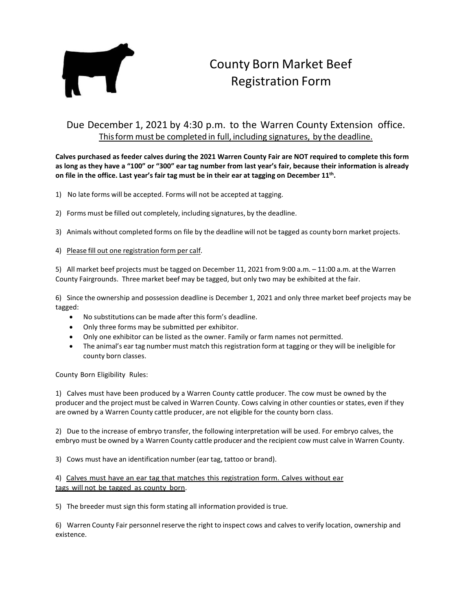

## County Born Market Beef Registration Form

## Due December 1, 2021 by 4:30 p.m. to the Warren County Extension office. Thisform must be completed in full, including signatures, by the deadline.

**Calves purchased as feeder calves during the 2021 Warren County Fair are NOT required to complete this form as long as they have a "100" or "300" ear tag number from last year's fair, because their information is already on file in the office. Last year's fair tag must be in their ear at tagging on December 11th.**

- 1) No late forms will be accepted. Forms will not be accepted at tagging.
- 2) Forms must be filled out completely, including signatures, by the deadline.
- 3) Animals without completed forms on file by the deadline will not be tagged as county born market projects.
- 4) Please fill out one registration form per calf.

5) All market beef projects must be tagged on December 11, 2021 from 9:00 a.m. – 11:00 a.m. at the Warren County Fairgrounds. Three market beef may be tagged, but only two may be exhibited at the fair.

6) Since the ownership and possession deadline is December 1, 2021 and only three market beef projects may be tagged:

- No substitutions can be made after this form's deadline.
- Only three forms may be submitted per exhibitor.
- Only one exhibitor can be listed as the owner. Family or farm names not permitted.
- The animal's ear tag number must match this registration form at tagging or they will be ineligible for county born classes.

County Born Eligibility Rules:

1) Calves must have been produced by a Warren County cattle producer. The cow must be owned by the producer and the project must be calved in Warren County. Cows calving in other counties or states, even if they are owned by a Warren County cattle producer, are not eligible for the county born class.

2) Due to the increase of embryo transfer, the following interpretation will be used. For embryo calves, the embryo must be owned by a Warren County cattle producer and the recipient cow must calve in Warren County.

3) Cows must have an identification number (ear tag, tattoo or brand).

4) Calves must have an ear tag that matches this registration form. Calves without ear tags will not be tagged as county born.

5) The breeder must sign this form stating all information provided is true.

6) Warren County Fair personnelreserve the right to inspect cows and calves to verify location, ownership and existence.